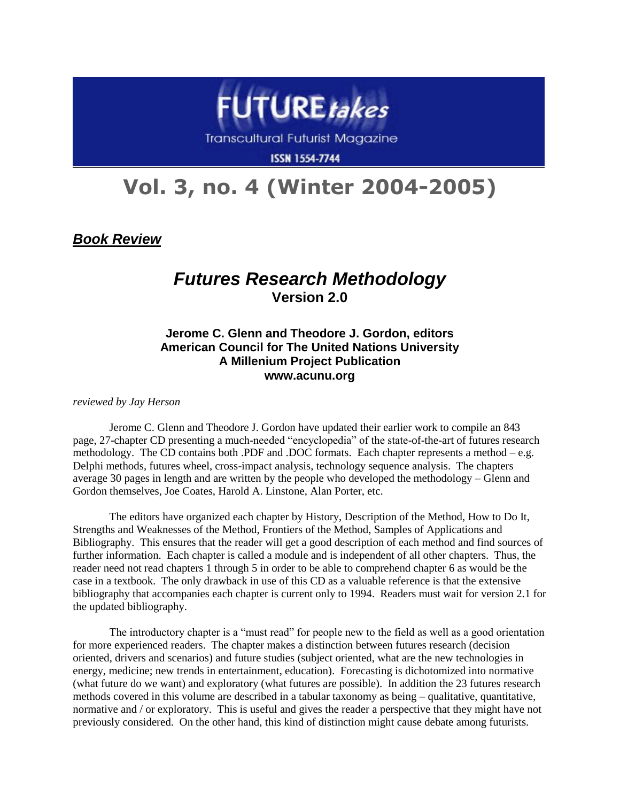

**ISSN 1554-7744** 

## **Vol. 3, no. 4 (Winter 2004-2005)**

*Book Review*

## *Futures Research Methodology* **Version 2.0**

## **Jerome C. Glenn and Theodore J. Gordon, editors American Council for The United Nations University A Millenium Project Publication www.acunu.org**

*reviewed by Jay Herson*

Jerome C. Glenn and Theodore J. Gordon have updated their earlier work to compile an 843 page, 27-chapter CD presenting a much-needed "encyclopedia" of the state-of-the-art of futures research methodology. The CD contains both .PDF and .DOC formats. Each chapter represents a method – e.g. Delphi methods, futures wheel, cross-impact analysis, technology sequence analysis. The chapters average 30 pages in length and are written by the people who developed the methodology – Glenn and Gordon themselves, Joe Coates, Harold A. Linstone, Alan Porter, etc.

The editors have organized each chapter by History, Description of the Method, How to Do It, Strengths and Weaknesses of the Method, Frontiers of the Method, Samples of Applications and Bibliography. This ensures that the reader will get a good description of each method and find sources of further information. Each chapter is called a module and is independent of all other chapters. Thus, the reader need not read chapters 1 through 5 in order to be able to comprehend chapter 6 as would be the case in a textbook. The only drawback in use of this CD as a valuable reference is that the extensive bibliography that accompanies each chapter is current only to 1994. Readers must wait for version 2.1 for the updated bibliography.

The introductory chapter is a "must read" for people new to the field as well as a good orientation for more experienced readers. The chapter makes a distinction between futures research (decision oriented, drivers and scenarios) and future studies (subject oriented, what are the new technologies in energy, medicine; new trends in entertainment, education). Forecasting is dichotomized into normative (what future do we want) and exploratory (what futures are possible). In addition the 23 futures research methods covered in this volume are described in a tabular taxonomy as being – qualitative, quantitative, normative and / or exploratory. This is useful and gives the reader a perspective that they might have not previously considered. On the other hand, this kind of distinction might cause debate among futurists.